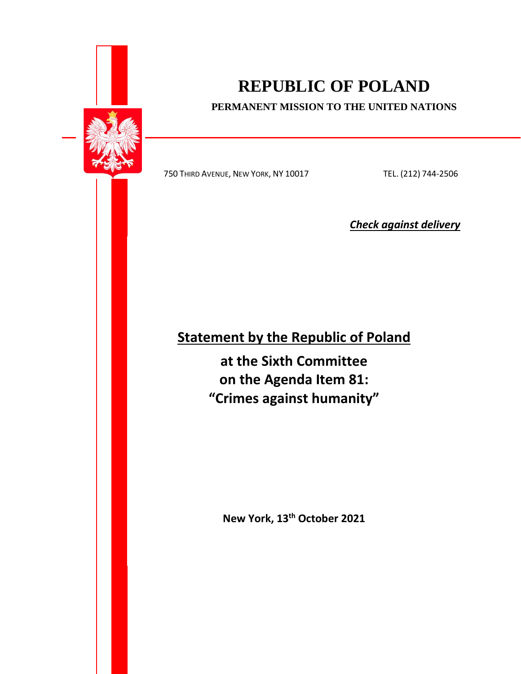